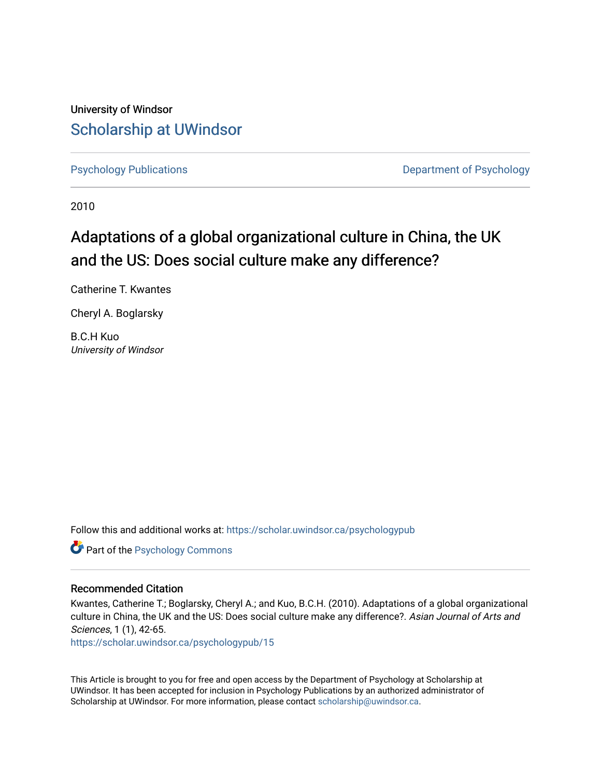University of Windsor [Scholarship at UWindsor](https://scholar.uwindsor.ca/) 

[Psychology Publications](https://scholar.uwindsor.ca/psychologypub) [Department of Psychology](https://scholar.uwindsor.ca/psychology) 

2010

# Adaptations of a global organizational culture in China, the UK and the US: Does social culture make any difference?

Catherine T. Kwantes

Cheryl A. Boglarsky

B.C.H Kuo University of Windsor

Follow this and additional works at: [https://scholar.uwindsor.ca/psychologypub](https://scholar.uwindsor.ca/psychologypub?utm_source=scholar.uwindsor.ca%2Fpsychologypub%2F15&utm_medium=PDF&utm_campaign=PDFCoverPages) 

Part of the [Psychology Commons](http://network.bepress.com/hgg/discipline/404?utm_source=scholar.uwindsor.ca%2Fpsychologypub%2F15&utm_medium=PDF&utm_campaign=PDFCoverPages) 

# Recommended Citation

Kwantes, Catherine T.; Boglarsky, Cheryl A.; and Kuo, B.C.H. (2010). Adaptations of a global organizational culture in China, the UK and the US: Does social culture make any difference?. Asian Journal of Arts and Sciences, 1 (1), 42-65.

[https://scholar.uwindsor.ca/psychologypub/15](https://scholar.uwindsor.ca/psychologypub/15?utm_source=scholar.uwindsor.ca%2Fpsychologypub%2F15&utm_medium=PDF&utm_campaign=PDFCoverPages)

This Article is brought to you for free and open access by the Department of Psychology at Scholarship at UWindsor. It has been accepted for inclusion in Psychology Publications by an authorized administrator of Scholarship at UWindsor. For more information, please contact [scholarship@uwindsor.ca.](mailto:scholarship@uwindsor.ca)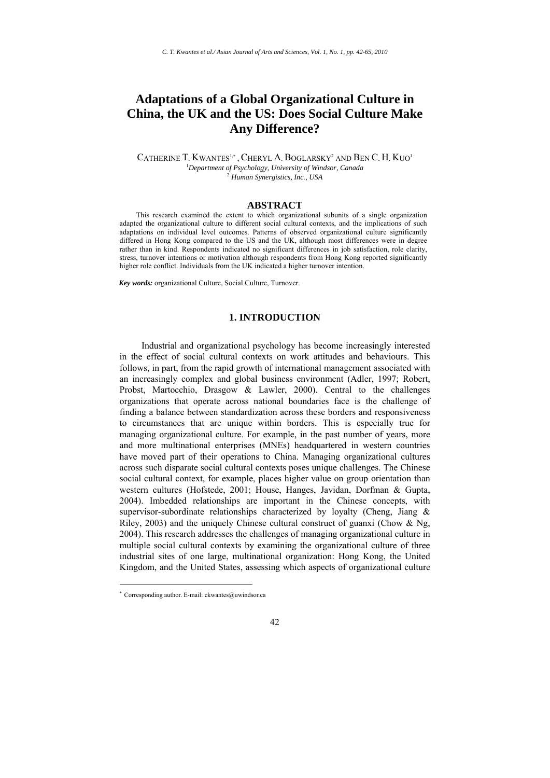# **Adaptations of a Global Organizational Culture in China, the UK and the US: Does Social Culture Make Any Difference?**

CATHERINE T. KWANTES<sup>1,\*</sup>, CHERYL A. BOGLARSKY<sup>2</sup> AND BEN C. H. KUO<sup>1</sup> 1 *Department of Psychology, University of Windsor, Canada* <sup>2</sup> *Human Synergistics, Inc.*, *USA*

#### **ABSTRACT**

This research examined the extent to which organizational subunits of a single organization adapted the organizational culture to different social cultural contexts, and the implications of such adaptations on individual level outcomes. Patterns of observed organizational culture significantly differed in Hong Kong compared to the US and the UK, although most differences were in degree rather than in kind. Respondents indicated no significant differences in job satisfaction, role clarity, stress, turnover intentions or motivation although respondents from Hong Kong reported significantly higher role conflict. Individuals from the UK indicated a higher turnover intention.

*Key words:* organizational Culture, Social Culture, Turnover.

#### **1. INTRODUCTION**

Industrial and organizational psychology has become increasingly interested in the effect of social cultural contexts on work attitudes and behaviours. This follows, in part, from the rapid growth of international management associated with an increasingly complex and global business environment (Adler, 1997; Robert, Probst, Martocchio, Drasgow & Lawler, 2000). Central to the challenges organizations that operate across national boundaries face is the challenge of finding a balance between standardization across these borders and responsiveness to circumstances that are unique within borders. This is especially true for managing organizational culture. For example, in the past number of years, more and more multinational enterprises (MNEs) headquartered in western countries have moved part of their operations to China. Managing organizational cultures across such disparate social cultural contexts poses unique challenges. The Chinese social cultural context, for example, places higher value on group orientation than western cultures (Hofstede, 2001; House, Hanges, Javidan, Dorfman & Gupta, 2004). Imbedded relationships are important in the Chinese concepts, with supervisor-subordinate relationships characterized by loyalty (Cheng, Jiang  $\&$ Riley, 2003) and the uniquely Chinese cultural construct of guanxi (Chow & Ng, 2004). This research addresses the challenges of managing organizational culture in multiple social cultural contexts by examining the organizational culture of three industrial sites of one large, multinational organization: Hong Kong, the United Kingdom, and the United States, assessing which aspects of organizational culture

1

<sup>∗</sup> Corresponding author. E-mail: ckwantes@uwindsor.ca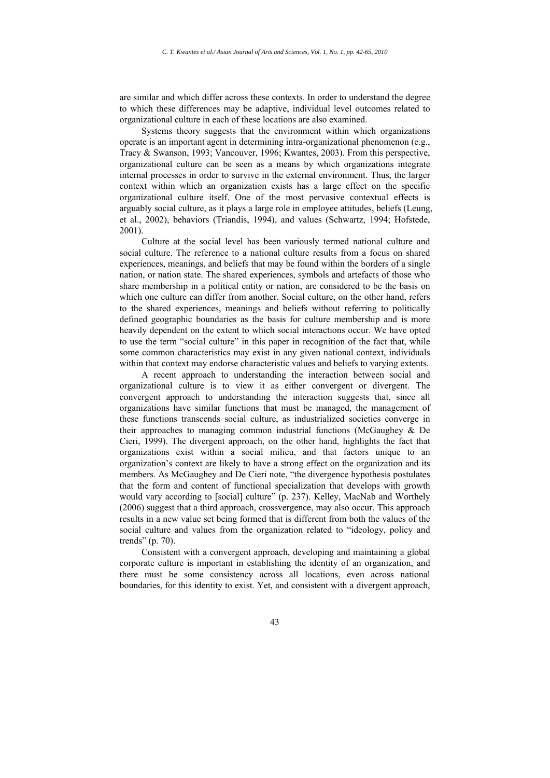are similar and which differ across these contexts. In order to understand the degree to which these differences may be adaptive, individual level outcomes related to organizational culture in each of these locations are also examined.

Systems theory suggests that the environment within which organizations operate is an important agent in determining intra-organizational phenomenon (e.g., Tracy & Swanson, 1993; Vancouver, 1996; Kwantes, 2003). From this perspective, organizational culture can be seen as a means by which organizations integrate internal processes in order to survive in the external environment. Thus, the larger context within which an organization exists has a large effect on the specific organizational culture itself. One of the most pervasive contextual effects is arguably social culture, as it plays a large role in employee attitudes, beliefs (Leung, et al., 2002), behaviors (Triandis, 1994), and values (Schwartz, 1994; Hofstede, 2001).

Culture at the social level has been variously termed national culture and social culture. The reference to a national culture results from a focus on shared experiences, meanings, and beliefs that may be found within the borders of a single nation, or nation state. The shared experiences, symbols and artefacts of those who share membership in a political entity or nation, are considered to be the basis on which one culture can differ from another. Social culture, on the other hand, refers to the shared experiences, meanings and beliefs without referring to politically defined geographic boundaries as the basis for culture membership and is more heavily dependent on the extent to which social interactions occur. We have opted to use the term "social culture" in this paper in recognition of the fact that, while some common characteristics may exist in any given national context, individuals within that context may endorse characteristic values and beliefs to varying extents.

A recent approach to understanding the interaction between social and organizational culture is to view it as either convergent or divergent. The convergent approach to understanding the interaction suggests that, since all organizations have similar functions that must be managed, the management of these functions transcends social culture, as industrialized societies converge in their approaches to managing common industrial functions (McGaughey & De Cieri, 1999). The divergent approach, on the other hand, highlights the fact that organizations exist within a social milieu, and that factors unique to an organization's context are likely to have a strong effect on the organization and its members. As McGaughey and De Cieri note, "the divergence hypothesis postulates that the form and content of functional specialization that develops with growth would vary according to [social] culture" (p. 237). Kelley, MacNab and Worthely (2006) suggest that a third approach, crossvergence, may also occur. This approach results in a new value set being formed that is different from both the values of the social culture and values from the organization related to "ideology, policy and trends" (p. 70).

Consistent with a convergent approach, developing and maintaining a global corporate culture is important in establishing the identity of an organization, and there must be some consistency across all locations, even across national boundaries, for this identity to exist. Yet, and consistent with a divergent approach,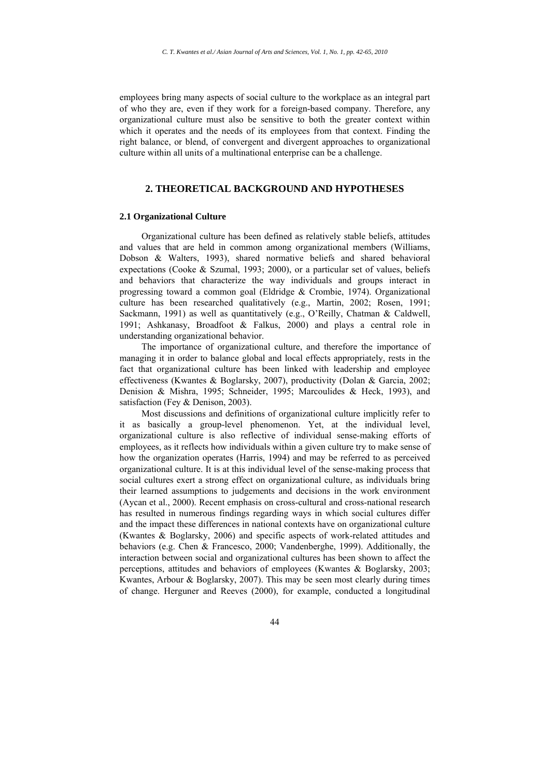employees bring many aspects of social culture to the workplace as an integral part of who they are, even if they work for a foreign-based company. Therefore, any organizational culture must also be sensitive to both the greater context within which it operates and the needs of its employees from that context. Finding the right balance, or blend, of convergent and divergent approaches to organizational culture within all units of a multinational enterprise can be a challenge.

# **2. THEORETICAL BACKGROUND AND HYPOTHESES**

#### **2.1 Organizational Culture**

Organizational culture has been defined as relatively stable beliefs, attitudes and values that are held in common among organizational members (Williams, Dobson & Walters, 1993), shared normative beliefs and shared behavioral expectations (Cooke & Szumal, 1993; 2000), or a particular set of values, beliefs and behaviors that characterize the way individuals and groups interact in progressing toward a common goal (Eldridge & Crombie, 1974). Organizational culture has been researched qualitatively (e.g., Martin, 2002; Rosen, 1991; Sackmann, 1991) as well as quantitatively (e.g., O'Reilly, Chatman & Caldwell, 1991; Ashkanasy, Broadfoot & Falkus, 2000) and plays a central role in understanding organizational behavior.

The importance of organizational culture, and therefore the importance of managing it in order to balance global and local effects appropriately, rests in the fact that organizational culture has been linked with leadership and employee effectiveness (Kwantes & Boglarsky, 2007), productivity (Dolan & Garcia, 2002; Denision & Mishra, 1995; Schneider, 1995; Marcoulides & Heck, 1993), and satisfaction (Fey & Denison, 2003).

Most discussions and definitions of organizational culture implicitly refer to it as basically a group-level phenomenon. Yet, at the individual level, organizational culture is also reflective of individual sense-making efforts of employees, as it reflects how individuals within a given culture try to make sense of how the organization operates (Harris, 1994) and may be referred to as perceived organizational culture. It is at this individual level of the sense-making process that social cultures exert a strong effect on organizational culture, as individuals bring their learned assumptions to judgements and decisions in the work environment (Aycan et al., 2000). Recent emphasis on cross-cultural and cross-national research has resulted in numerous findings regarding ways in which social cultures differ and the impact these differences in national contexts have on organizational culture (Kwantes & Boglarsky, 2006) and specific aspects of work-related attitudes and behaviors (e.g. Chen & Francesco, 2000; Vandenberghe, 1999). Additionally, the interaction between social and organizational cultures has been shown to affect the perceptions, attitudes and behaviors of employees (Kwantes & Boglarsky, 2003; Kwantes, Arbour & Boglarsky, 2007). This may be seen most clearly during times of change. Herguner and Reeves (2000), for example, conducted a longitudinal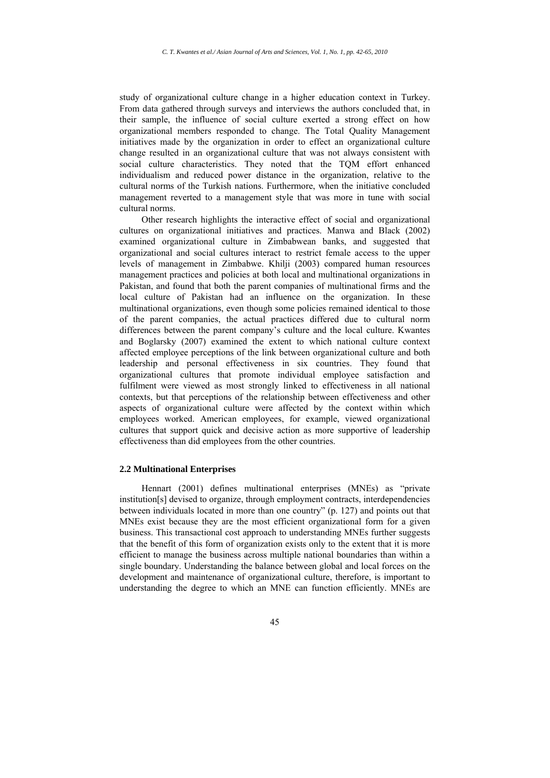study of organizational culture change in a higher education context in Turkey. From data gathered through surveys and interviews the authors concluded that, in their sample, the influence of social culture exerted a strong effect on how organizational members responded to change. The Total Quality Management initiatives made by the organization in order to effect an organizational culture change resulted in an organizational culture that was not always consistent with social culture characteristics. They noted that the TQM effort enhanced individualism and reduced power distance in the organization, relative to the cultural norms of the Turkish nations. Furthermore, when the initiative concluded management reverted to a management style that was more in tune with social cultural norms.

Other research highlights the interactive effect of social and organizational cultures on organizational initiatives and practices. Manwa and Black (2002) examined organizational culture in Zimbabwean banks, and suggested that organizational and social cultures interact to restrict female access to the upper levels of management in Zimbabwe. Khilji (2003) compared human resources management practices and policies at both local and multinational organizations in Pakistan, and found that both the parent companies of multinational firms and the local culture of Pakistan had an influence on the organization. In these multinational organizations, even though some policies remained identical to those of the parent companies, the actual practices differed due to cultural norm differences between the parent company's culture and the local culture. Kwantes and Boglarsky (2007) examined the extent to which national culture context affected employee perceptions of the link between organizational culture and both leadership and personal effectiveness in six countries. They found that organizational cultures that promote individual employee satisfaction and fulfilment were viewed as most strongly linked to effectiveness in all national contexts, but that perceptions of the relationship between effectiveness and other aspects of organizational culture were affected by the context within which employees worked. American employees, for example, viewed organizational cultures that support quick and decisive action as more supportive of leadership effectiveness than did employees from the other countries.

#### **2.2 Multinational Enterprises**

Hennart (2001) defines multinational enterprises (MNEs) as "private institution[s] devised to organize, through employment contracts, interdependencies between individuals located in more than one country" (p. 127) and points out that MNEs exist because they are the most efficient organizational form for a given business. This transactional cost approach to understanding MNEs further suggests that the benefit of this form of organization exists only to the extent that it is more efficient to manage the business across multiple national boundaries than within a single boundary. Understanding the balance between global and local forces on the development and maintenance of organizational culture, therefore, is important to understanding the degree to which an MNE can function efficiently. MNEs are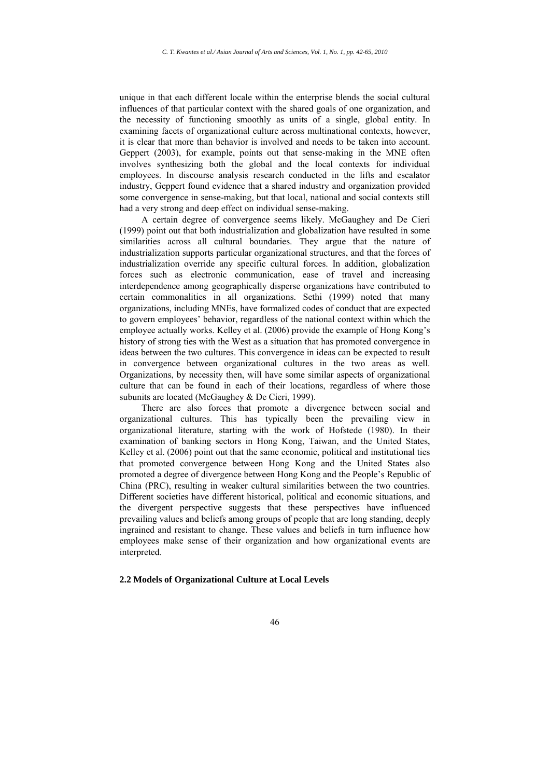unique in that each different locale within the enterprise blends the social cultural influences of that particular context with the shared goals of one organization, and the necessity of functioning smoothly as units of a single, global entity. In examining facets of organizational culture across multinational contexts, however, it is clear that more than behavior is involved and needs to be taken into account. Geppert (2003), for example, points out that sense-making in the MNE often involves synthesizing both the global and the local contexts for individual employees. In discourse analysis research conducted in the lifts and escalator industry, Geppert found evidence that a shared industry and organization provided some convergence in sense-making, but that local, national and social contexts still had a very strong and deep effect on individual sense-making.

A certain degree of convergence seems likely. McGaughey and De Cieri (1999) point out that both industrialization and globalization have resulted in some similarities across all cultural boundaries. They argue that the nature of industrialization supports particular organizational structures, and that the forces of industrialization override any specific cultural forces. In addition, globalization forces such as electronic communication, ease of travel and increasing interdependence among geographically disperse organizations have contributed to certain commonalities in all organizations. Sethi (1999) noted that many organizations, including MNEs, have formalized codes of conduct that are expected to govern employees' behavior, regardless of the national context within which the employee actually works. Kelley et al. (2006) provide the example of Hong Kong's history of strong ties with the West as a situation that has promoted convergence in ideas between the two cultures. This convergence in ideas can be expected to result in convergence between organizational cultures in the two areas as well. Organizations, by necessity then, will have some similar aspects of organizational culture that can be found in each of their locations, regardless of where those subunits are located (McGaughey & De Cieri, 1999).

There are also forces that promote a divergence between social and organizational cultures. This has typically been the prevailing view in organizational literature, starting with the work of Hofstede (1980). In their examination of banking sectors in Hong Kong, Taiwan, and the United States, Kelley et al. (2006) point out that the same economic, political and institutional ties that promoted convergence between Hong Kong and the United States also promoted a degree of divergence between Hong Kong and the People's Republic of China (PRC), resulting in weaker cultural similarities between the two countries. Different societies have different historical, political and economic situations, and the divergent perspective suggests that these perspectives have influenced prevailing values and beliefs among groups of people that are long standing, deeply ingrained and resistant to change. These values and beliefs in turn influence how employees make sense of their organization and how organizational events are interpreted.

#### **2.2 Models of Organizational Culture at Local Levels**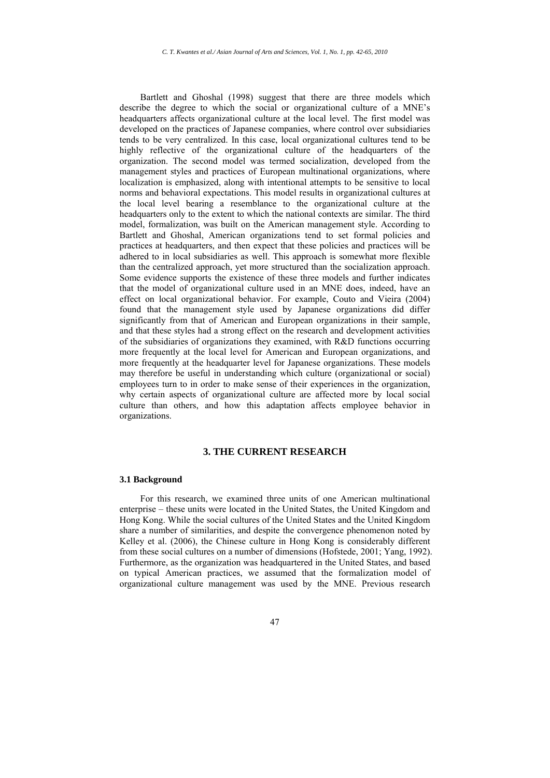Bartlett and Ghoshal (1998) suggest that there are three models which describe the degree to which the social or organizational culture of a MNE's headquarters affects organizational culture at the local level. The first model was developed on the practices of Japanese companies, where control over subsidiaries tends to be very centralized. In this case, local organizational cultures tend to be highly reflective of the organizational culture of the headquarters of the organization. The second model was termed socialization, developed from the management styles and practices of European multinational organizations, where localization is emphasized, along with intentional attempts to be sensitive to local norms and behavioral expectations. This model results in organizational cultures at the local level bearing a resemblance to the organizational culture at the headquarters only to the extent to which the national contexts are similar. The third model, formalization, was built on the American management style. According to Bartlett and Ghoshal, American organizations tend to set formal policies and practices at headquarters, and then expect that these policies and practices will be adhered to in local subsidiaries as well. This approach is somewhat more flexible than the centralized approach, yet more structured than the socialization approach. Some evidence supports the existence of these three models and further indicates that the model of organizational culture used in an MNE does, indeed, have an effect on local organizational behavior. For example, Couto and Vieira (2004) found that the management style used by Japanese organizations did differ significantly from that of American and European organizations in their sample, and that these styles had a strong effect on the research and development activities of the subsidiaries of organizations they examined, with R&D functions occurring more frequently at the local level for American and European organizations, and more frequently at the headquarter level for Japanese organizations. These models may therefore be useful in understanding which culture (organizational or social) employees turn to in order to make sense of their experiences in the organization, why certain aspects of organizational culture are affected more by local social culture than others, and how this adaptation affects employee behavior in organizations.

# **3. THE CURRENT RESEARCH**

#### **3.1 Background**

For this research, we examined three units of one American multinational enterprise – these units were located in the United States, the United Kingdom and Hong Kong. While the social cultures of the United States and the United Kingdom share a number of similarities, and despite the convergence phenomenon noted by Kelley et al. (2006), the Chinese culture in Hong Kong is considerably different from these social cultures on a number of dimensions (Hofstede, 2001; Yang, 1992). Furthermore, as the organization was headquartered in the United States, and based on typical American practices, we assumed that the formalization model of organizational culture management was used by the MNE. Previous research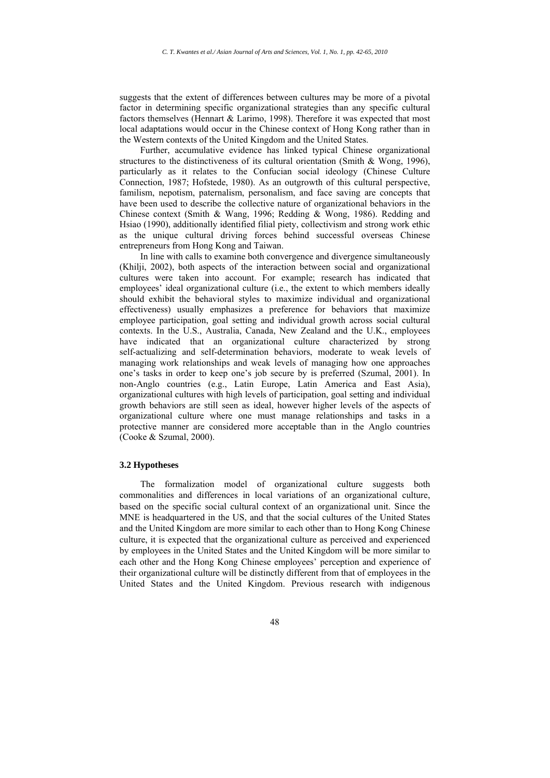suggests that the extent of differences between cultures may be more of a pivotal factor in determining specific organizational strategies than any specific cultural factors themselves (Hennart & Larimo, 1998). Therefore it was expected that most local adaptations would occur in the Chinese context of Hong Kong rather than in the Western contexts of the United Kingdom and the United States.

Further, accumulative evidence has linked typical Chinese organizational structures to the distinctiveness of its cultural orientation (Smith & Wong, 1996), particularly as it relates to the Confucian social ideology (Chinese Culture Connection, 1987; Hofstede, 1980). As an outgrowth of this cultural perspective, familism, nepotism, paternalism, personalism, and face saving are concepts that have been used to describe the collective nature of organizational behaviors in the Chinese context (Smith & Wang, 1996; Redding & Wong, 1986). Redding and Hsiao (1990), additionally identified filial piety, collectivism and strong work ethic as the unique cultural driving forces behind successful overseas Chinese entrepreneurs from Hong Kong and Taiwan.

In line with calls to examine both convergence and divergence simultaneously (Khilji, 2002), both aspects of the interaction between social and organizational cultures were taken into account. For example; research has indicated that employees' ideal organizational culture (i.e., the extent to which members ideally should exhibit the behavioral styles to maximize individual and organizational effectiveness) usually emphasizes a preference for behaviors that maximize employee participation, goal setting and individual growth across social cultural contexts. In the U.S., Australia, Canada, New Zealand and the U.K., employees have indicated that an organizational culture characterized by strong self-actualizing and self-determination behaviors, moderate to weak levels of managing work relationships and weak levels of managing how one approaches one's tasks in order to keep one's job secure by is preferred (Szumal, 2001). In non-Anglo countries (e.g., Latin Europe, Latin America and East Asia), organizational cultures with high levels of participation, goal setting and individual growth behaviors are still seen as ideal, however higher levels of the aspects of organizational culture where one must manage relationships and tasks in a protective manner are considered more acceptable than in the Anglo countries (Cooke & Szumal, 2000).

#### **3.2 Hypotheses**

The formalization model of organizational culture suggests both commonalities and differences in local variations of an organizational culture, based on the specific social cultural context of an organizational unit. Since the MNE is headquartered in the US, and that the social cultures of the United States and the United Kingdom are more similar to each other than to Hong Kong Chinese culture, it is expected that the organizational culture as perceived and experienced by employees in the United States and the United Kingdom will be more similar to each other and the Hong Kong Chinese employees' perception and experience of their organizational culture will be distinctly different from that of employees in the United States and the United Kingdom. Previous research with indigenous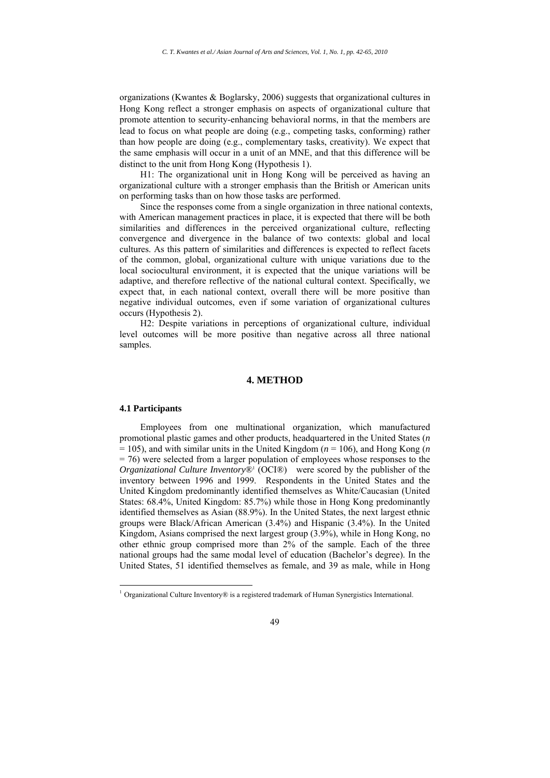organizations (Kwantes & Boglarsky, 2006) suggests that organizational cultures in Hong Kong reflect a stronger emphasis on aspects of organizational culture that promote attention to security-enhancing behavioral norms, in that the members are lead to focus on what people are doing (e.g., competing tasks, conforming) rather than how people are doing (e.g., complementary tasks, creativity). We expect that the same emphasis will occur in a unit of an MNE, and that this difference will be distinct to the unit from Hong Kong (Hypothesis 1).

H1: The organizational unit in Hong Kong will be perceived as having an organizational culture with a stronger emphasis than the British or American units on performing tasks than on how those tasks are performed.

Since the responses come from a single organization in three national contexts, with American management practices in place, it is expected that there will be both similarities and differences in the perceived organizational culture, reflecting convergence and divergence in the balance of two contexts: global and local cultures. As this pattern of similarities and differences is expected to reflect facets of the common, global, organizational culture with unique variations due to the local sociocultural environment, it is expected that the unique variations will be adaptive, and therefore reflective of the national cultural context. Specifically, we expect that, in each national context, overall there will be more positive than negative individual outcomes, even if some variation of organizational cultures occurs (Hypothesis 2).

H2: Despite variations in perceptions of organizational culture, individual level outcomes will be more positive than negative across all three national samples.

#### **4. METHOD**

#### **4.1 Participants**

<u>.</u>

Employees from one multinational organization, which manufactured promotional plastic games and other products, headquartered in the United States (*n*  $= 105$ ), and with similar units in the United Kingdom ( $n = 106$ ), and Hong Kong (*n*)  $= 76$ ) were selected from a larger population of employees whose responses to the *Organizational Culture Inventory*<sup>®1</sup> (OCI®) were scored by the publisher of the inventory between 1996 and 1999. Respondents in the United States and the United Kingdom predominantly identified themselves as White/Caucasian (United States: 68.4%, United Kingdom: 85.7%) while those in Hong Kong predominantly identified themselves as Asian (88.9%). In the United States, the next largest ethnic groups were Black/African American (3.4%) and Hispanic (3.4%). In the United Kingdom, Asians comprised the next largest group (3.9%), while in Hong Kong, no other ethnic group comprised more than 2% of the sample. Each of the three national groups had the same modal level of education (Bachelor's degree). In the United States, 51 identified themselves as female, and 39 as male, while in Hong

 $1$  Organizational Culture Inventory $\circledR$  is a registered trademark of Human Synergistics International.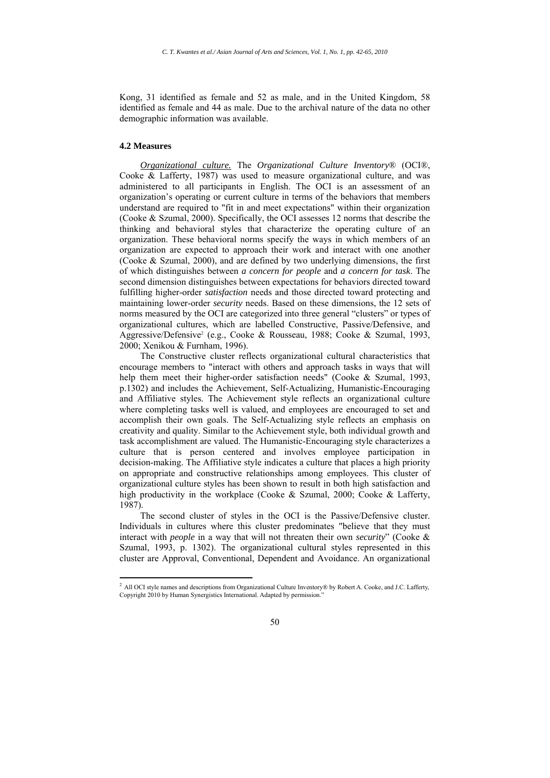Kong, 31 identified as female and 52 as male, and in the United Kingdom, 58 identified as female and 44 as male. Due to the archival nature of the data no other demographic information was available.

#### **4.2 Measures**

1

*Organizational culture.* The *Organizational Culture Inventory*® (OCI®, Cooke & Lafferty, 1987) was used to measure organizational culture, and was administered to all participants in English. The OCI is an assessment of an organization's operating or current culture in terms of the behaviors that members understand are required to "fit in and meet expectations" within their organization (Cooke & Szumal, 2000). Specifically, the OCI assesses 12 norms that describe the thinking and behavioral styles that characterize the operating culture of an organization. These behavioral norms specify the ways in which members of an organization are expected to approach their work and interact with one another (Cooke & Szumal, 2000), and are defined by two underlying dimensions, the first of which distinguishes between *a concern for people* and *a concern for task*. The second dimension distinguishes between expectations for behaviors directed toward fulfilling higher-order *satisfaction* needs and those directed toward protecting and maintaining lower-order *security* needs. Based on these dimensions, the 12 sets of norms measured by the OCI are categorized into three general "clusters" or types of organizational cultures, which are labelled Constructive, Passive/Defensive, and Aggressive/Defensive<sup>2</sup> (e.g., Cooke & Rousseau, 1988; Cooke & Szumal, 1993, 2000; Xenikou & Furnham, 1996).

The Constructive cluster reflects organizational cultural characteristics that encourage members to "interact with others and approach tasks in ways that will help them meet their higher-order satisfaction needs" (Cooke & Szumal, 1993, p.1302) and includes the Achievement, Self-Actualizing, Humanistic-Encouraging and Affiliative styles. The Achievement style reflects an organizational culture where completing tasks well is valued, and employees are encouraged to set and accomplish their own goals. The Self-Actualizing style reflects an emphasis on creativity and quality. Similar to the Achievement style, both individual growth and task accomplishment are valued. The Humanistic-Encouraging style characterizes a culture that is person centered and involves employee participation in decision-making. The Affiliative style indicates a culture that places a high priority on appropriate and constructive relationships among employees. This cluster of organizational culture styles has been shown to result in both high satisfaction and high productivity in the workplace (Cooke & Szumal, 2000; Cooke & Lafferty, 1987).

The second cluster of styles in the OCI is the Passive/Defensive cluster. Individuals in cultures where this cluster predominates "believe that they must interact with *people* in a way that will not threaten their own *security*" (Cooke & Szumal, 1993, p. 1302). The organizational cultural styles represented in this cluster are Approval, Conventional, Dependent and Avoidance. An organizational

 $^2$  All OCI style names and descriptions from Organizational Culture Inventory® by Robert A. Cooke, and J.C. Lafferty, Copyright 2010 by Human Synergistics International. Adapted by permission."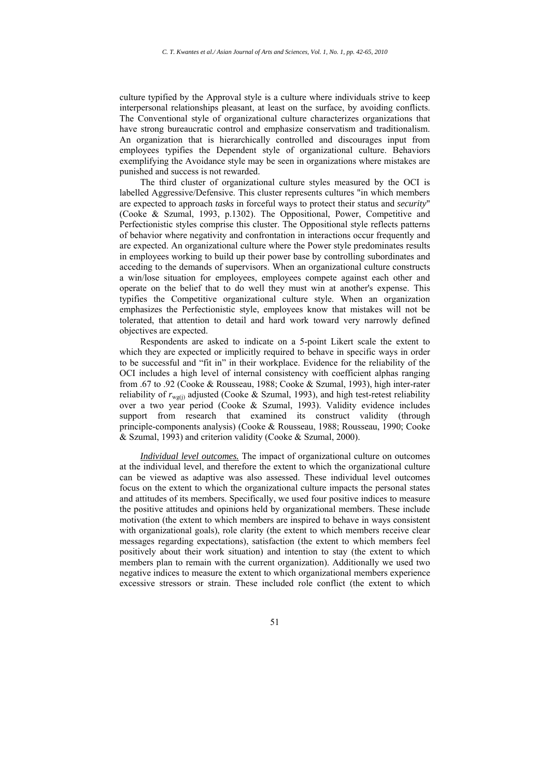culture typified by the Approval style is a culture where individuals strive to keep interpersonal relationships pleasant, at least on the surface, by avoiding conflicts. The Conventional style of organizational culture characterizes organizations that have strong bureaucratic control and emphasize conservatism and traditionalism. An organization that is hierarchically controlled and discourages input from employees typifies the Dependent style of organizational culture. Behaviors exemplifying the Avoidance style may be seen in organizations where mistakes are punished and success is not rewarded.

The third cluster of organizational culture styles measured by the OCI is labelled Aggressive/Defensive. This cluster represents cultures "in which members are expected to approach *tasks* in forceful ways to protect their status and *security*" (Cooke & Szumal, 1993, p.1302). The Oppositional, Power, Competitive and Perfectionistic styles comprise this cluster. The Oppositional style reflects patterns of behavior where negativity and confrontation in interactions occur frequently and are expected. An organizational culture where the Power style predominates results in employees working to build up their power base by controlling subordinates and acceding to the demands of supervisors. When an organizational culture constructs a win/lose situation for employees, employees compete against each other and operate on the belief that to do well they must win at another's expense. This typifies the Competitive organizational culture style. When an organization emphasizes the Perfectionistic style, employees know that mistakes will not be tolerated, that attention to detail and hard work toward very narrowly defined objectives are expected.

Respondents are asked to indicate on a 5-point Likert scale the extent to which they are expected or implicitly required to behave in specific ways in order to be successful and "fit in" in their workplace. Evidence for the reliability of the OCI includes a high level of internal consistency with coefficient alphas ranging from .67 to .92 (Cooke & Rousseau, 1988; Cooke & Szumal, 1993), high inter-rater reliability of  $r_{\text{wg(i)}}$  adjusted (Cooke & Szumal, 1993), and high test-retest reliability over a two year period (Cooke & Szumal, 1993). Validity evidence includes support from research that examined its construct validity (through principle-components analysis) (Cooke & Rousseau, 1988; Rousseau, 1990; Cooke & Szumal, 1993) and criterion validity (Cooke & Szumal, 2000).

*Individual level outcomes.* The impact of organizational culture on outcomes at the individual level, and therefore the extent to which the organizational culture can be viewed as adaptive was also assessed. These individual level outcomes focus on the extent to which the organizational culture impacts the personal states and attitudes of its members. Specifically, we used four positive indices to measure the positive attitudes and opinions held by organizational members. These include motivation (the extent to which members are inspired to behave in ways consistent with organizational goals), role clarity (the extent to which members receive clear messages regarding expectations), satisfaction (the extent to which members feel positively about their work situation) and intention to stay (the extent to which members plan to remain with the current organization). Additionally we used two negative indices to measure the extent to which organizational members experience excessive stressors or strain. These included role conflict (the extent to which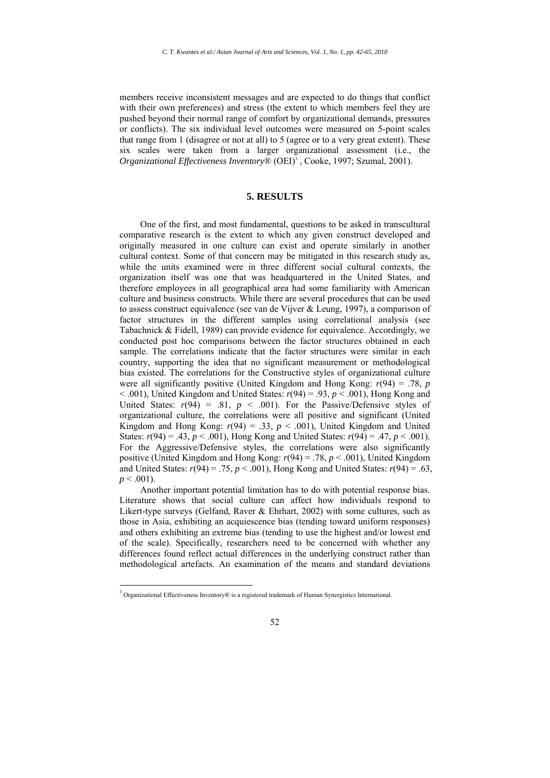members receive inconsistent messages and are expected to do things that conflict with their own preferences) and stress (the extent to which members feel they are pushed beyond their normal range of comfort by organizational demands, pressures or conflicts). The six individual level outcomes were measured on 5-point scales that range from 1 (disagree or not at all) to 5 (agree or to a very great extent). These six scales were taken from a larger organizational assessment (i.e., the *Organizational Effectiveness Inventory*® (OEI)3 , Cooke, 1997; Szumal, 2001).

### **5. RESULTS**

One of the first, and most fundamental, questions to be asked in transcultural comparative research is the extent to which any given construct developed and originally measured in one culture can exist and operate similarly in another cultural context. Some of that concern may be mitigated in this research study as, while the units examined were in three different social cultural contexts, the organization itself was one that was headquartered in the United States, and therefore employees in all geographical area had some familiarity with American culture and business constructs. While there are several procedures that can be used to assess construct equivalence (see van de Vijver & Leung, 1997), a comparison of factor structures in the different samples using correlational analysis (see Tabachnick & Fidell, 1989) can provide evidence for equivalence. Accordingly, we conducted post hoc comparisons between the factor structures obtained in each sample. The correlations indicate that the factor structures were similar in each country, supporting the idea that no significant measurement or methodological bias existed. The correlations for the Constructive styles of organizational culture were all significantly positive (United Kingdom and Hong Kong: *r*(94) = .78, *p* < .001), United Kingdom and United States: *r*(94) = .93, *p* < .001), Hong Kong and United States:  $r(94) = .81$ ,  $p < .001$ ). For the Passive/Defensive styles of organizational culture, the correlations were all positive and significant (United Kingdom and Hong Kong:  $r(94) = .33$ ,  $p < .001$ ), United Kingdom and United States:  $r(94) = .43$ ,  $p < .001$ ), Hong Kong and United States:  $r(94) = .47$ ,  $p < .001$ ). For the Aggressive/Defensive styles, the correlations were also significantly positive (United Kingdom and Hong Kong: *r*(94) = .78, *p* < .001), United Kingdom and United States:  $r(94) = .75$ ,  $p < .001$ ), Hong Kong and United States:  $r(94) = .63$ ,  $p < .001$ ).

Another important potential limitation has to do with potential response bias. Literature shows that social culture can affect how individuals respond to Likert-type surveys (Gelfand, Raver & Ehrhart, 2002) with some cultures, such as those in Asia, exhibiting an acquiescence bias (tending toward uniform responses) and others exhibiting an extreme bias (tending to use the highest and/or lowest end of the scale). Specifically, researchers need to be concerned with whether any differences found reflect actual differences in the underlying construct rather than methodological artefacts. An examination of the means and standard deviations

<u>.</u>

<sup>&</sup>lt;sup>3</sup> Organizational Effectiveness Inventory® is a registered trademark of Human Synergistics International.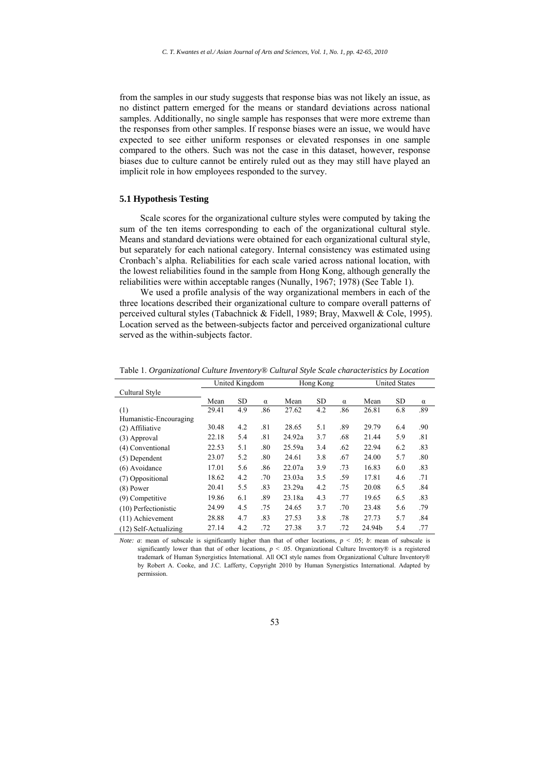from the samples in our study suggests that response bias was not likely an issue, as no distinct pattern emerged for the means or standard deviations across national samples. Additionally, no single sample has responses that were more extreme than the responses from other samples. If response biases were an issue, we would have expected to see either uniform responses or elevated responses in one sample compared to the others. Such was not the case in this dataset, however, response biases due to culture cannot be entirely ruled out as they may still have played an implicit role in how employees responded to the survey.

#### **5.1 Hypothesis Testing**

Scale scores for the organizational culture styles were computed by taking the sum of the ten items corresponding to each of the organizational cultural style. Means and standard deviations were obtained for each organizational cultural style, but separately for each national category. Internal consistency was estimated using Cronbach's alpha. Reliabilities for each scale varied across national location, with the lowest reliabilities found in the sample from Hong Kong, although generally the reliabilities were within acceptable ranges (Nunally, 1967; 1978) (See Table 1).

We used a profile analysis of the way organizational members in each of the three locations described their organizational culture to compare overall patterns of perceived cultural styles (Tabachnick & Fidell, 1989; Bray, Maxwell & Cole, 1995). Location served as the between-subjects factor and perceived organizational culture served as the within-subjects factor.

|                        | United Kingdom |           |          |        | Hong Kong |          | <b>United States</b> |           |          |
|------------------------|----------------|-----------|----------|--------|-----------|----------|----------------------|-----------|----------|
| Cultural Style         |                |           |          |        |           |          |                      |           |          |
|                        | Mean           | <b>SD</b> | $\alpha$ | Mean   | <b>SD</b> | $\alpha$ | Mean                 | <b>SD</b> | $\alpha$ |
| (1)                    | 29.41          | 4.9       | .86      | 27.62  | 4.2       | .86      | 26.81                | 6.8       | .89      |
| Humanistic-Encouraging |                |           |          |        |           |          |                      |           |          |
| (2) Affiliative        | 30.48          | 4.2       | .81      | 28.65  | 5.1       | .89      | 29.79                | 6.4       | .90      |
| (3) Approval           | 22.18          | 5.4       | .81      | 24.92a | 3.7       | .68      | 21.44                | 5.9       | .81      |
| (4) Conventional       | 22.53          | 5.1       | .80      | 25.59a | 3.4       | .62      | 22.94                | 6.2       | .83      |
| (5) Dependent          | 23.07          | 5.2       | .80      | 24.61  | 3.8       | .67      | 24.00                | 5.7       | .80      |
| (6) Avoidance          | 17.01          | 5.6       | .86      | 22.07a | 3.9       | .73      | 16.83                | 6.0       | .83      |
| (7) Oppositional       | 18.62          | 4.2       | .70      | 23.03a | 3.5       | .59      | 17.81                | 4.6       | .71      |
| $(8)$ Power            | 20.41          | 5.5       | .83      | 23.29a | 4.2       | .75      | 20.08                | 6.5       | .84      |
| (9) Competitive        | 19.86          | 6.1       | .89      | 23.18a | 4.3       | .77      | 19.65                | 6.5       | .83      |
| (10) Perfectionistic   | 24.99          | 4.5       | .75      | 24.65  | 3.7       | .70      | 23.48                | 5.6       | .79      |
| $(11)$ Achievement     | 28.88          | 4.7       | .83      | 27.53  | 3.8       | .78      | 27.73                | 5.7       | .84      |
| (12) Self-Actualizing  | 27.14          | 4.2       | .72      | 27.38  | 3.7       | .72      | 24.94b               | 5.4       | .77      |

Table 1. *Organizational Culture Inventory® Cultural Style Scale characteristics by Location* 

*Note: a*: mean of subscale is significantly higher than that of other locations,  $p \le 0.05$ ; *b*: mean of subscale is significantly lower than that of other locations,  $p < .05$ . Organizational Culture Inventory® is a registered trademark of Human Synergistics International. All OCI style names from Organizational Culture Inventory® by Robert A. Cooke, and J.C. Lafferty, Copyright 2010 by Human Synergistics International. Adapted by permission.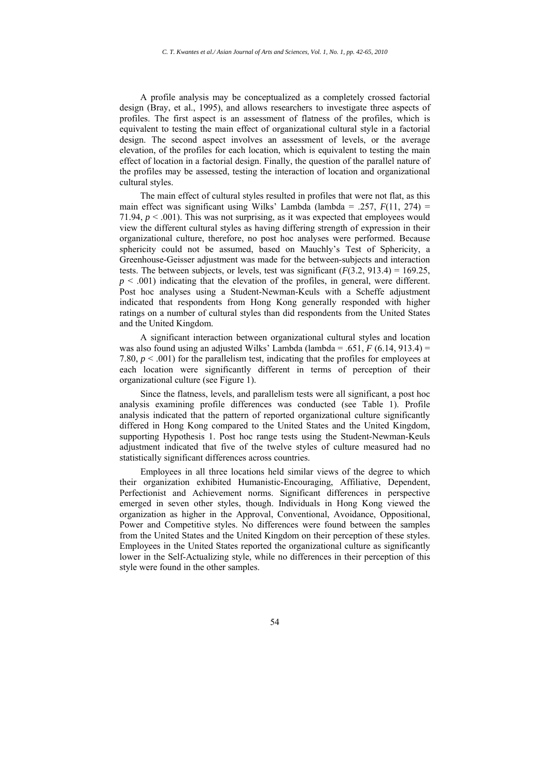A profile analysis may be conceptualized as a completely crossed factorial design (Bray, et al., 1995), and allows researchers to investigate three aspects of profiles. The first aspect is an assessment of flatness of the profiles, which is equivalent to testing the main effect of organizational cultural style in a factorial design. The second aspect involves an assessment of levels, or the average elevation, of the profiles for each location, which is equivalent to testing the main effect of location in a factorial design. Finally, the question of the parallel nature of the profiles may be assessed, testing the interaction of location and organizational cultural styles.

The main effect of cultural styles resulted in profiles that were not flat, as this main effect was significant using Wilks' Lambda (lambda = .257,  $F(11, 274)$  = 71.94,  $p < .001$ ). This was not surprising, as it was expected that employees would view the different cultural styles as having differing strength of expression in their organizational culture, therefore, no post hoc analyses were performed. Because sphericity could not be assumed, based on Mauchly's Test of Sphericity, a Greenhouse-Geisser adjustment was made for the between-subjects and interaction tests. The between subjects, or levels, test was significant  $(F(3.2, 913.4) = 169.25$ ,  $p \leq 0.001$ ) indicating that the elevation of the profiles, in general, were different. Post hoc analyses using a Student-Newman-Keuls with a Scheffe adjustment indicated that respondents from Hong Kong generally responded with higher ratings on a number of cultural styles than did respondents from the United States and the United Kingdom.

A significant interaction between organizational cultural styles and location was also found using an adjusted Wilks' Lambda (lambda = .651,  $F$  (6.14, 913.4) = 7.80,  $p < .001$ ) for the parallelism test, indicating that the profiles for employees at each location were significantly different in terms of perception of their organizational culture (see Figure 1).

Since the flatness, levels, and parallelism tests were all significant, a post hoc analysis examining profile differences was conducted (see Table 1). Profile analysis indicated that the pattern of reported organizational culture significantly differed in Hong Kong compared to the United States and the United Kingdom, supporting Hypothesis 1. Post hoc range tests using the Student-Newman-Keuls adjustment indicated that five of the twelve styles of culture measured had no statistically significant differences across countries.

Employees in all three locations held similar views of the degree to which their organization exhibited Humanistic-Encouraging, Affiliative, Dependent, Perfectionist and Achievement norms. Significant differences in perspective emerged in seven other styles, though. Individuals in Hong Kong viewed the organization as higher in the Approval, Conventional, Avoidance, Oppositional, Power and Competitive styles. No differences were found between the samples from the United States and the United Kingdom on their perception of these styles. Employees in the United States reported the organizational culture as significantly lower in the Self-Actualizing style, while no differences in their perception of this style were found in the other samples.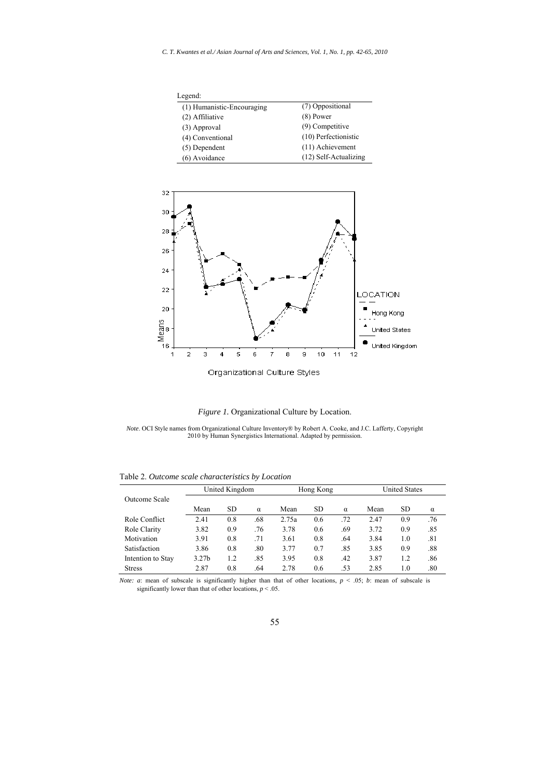*C. T. Kwantes et al./ Asian Journal of Arts and Sciences, Vol. 1, No. 1, pp. 42-65, 2010*

| Legend:                    |                       |
|----------------------------|-----------------------|
| (1) Humanistic-Encouraging | (7) Oppositional      |
| (2) Affiliative            | $(8)$ Power           |
| (3) Approval               | $(9)$ Competitive     |
| (4) Conventional           | (10) Perfectionistic  |
| $(5)$ Dependent            | (11) Achievement      |
| (6) Avoidance              | (12) Self-Actualizing |





*Note*. OCI Style names from Organizational Culture Inventory® by Robert A. Cooke, and J.C. Lafferty, Copyright 2010 by Human Synergistics International. Adapted by permission.

|                   | United Kingdom    |     |          | Hong Kong |     |          | <b>United States</b> |     |          |
|-------------------|-------------------|-----|----------|-----------|-----|----------|----------------------|-----|----------|
| Outcome Scale     |                   |     |          |           |     |          |                      |     |          |
|                   | Mean              | SD  | $\alpha$ | Mean      | SD  | $\alpha$ | Mean                 | SD. | $\alpha$ |
| Role Conflict     | 2.41              | 0.8 | .68      | 2.75a     | 0.6 | .72      | 2.47                 | 0.9 | .76      |
| Role Clarity      | 3.82              | 0.9 | .76      | 3.78      | 0.6 | .69      | 3.72                 | 0.9 | .85      |
| Motivation        | 3.91              | 0.8 | .71      | 3.61      | 0.8 | .64      | 3.84                 | 1.0 | .81      |
| Satisfaction      | 3.86              | 0.8 | .80      | 3.77      | 0.7 | .85      | 3.85                 | 0.9 | .88      |
| Intention to Stay | 3.27 <sub>b</sub> | 1.2 | .85      | 3.95      | 0.8 | .42      | 3.87                 | 1.2 | .86      |
| <b>Stress</b>     | 2.87              | 0.8 | .64      | 2.78      | 0.6 | .53      | 2.85                 | 1.0 | .80      |

Table 2. *Outcome scale characteristics by Location*

*Note: a*: mean of subscale is significantly higher than that of other locations, *p* < .05; *b*: mean of subscale is significantly lower than that of other locations,  $p < .05$ .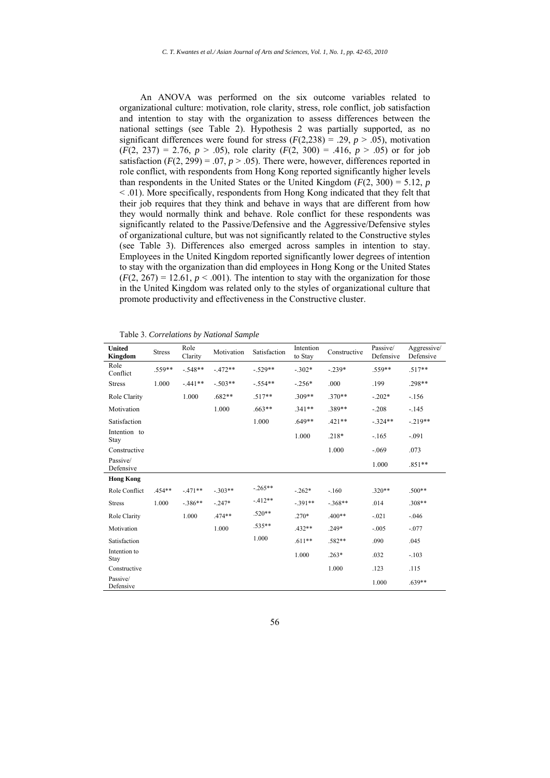An ANOVA was performed on the six outcome variables related to organizational culture: motivation, role clarity, stress, role conflict, job satisfaction and intention to stay with the organization to assess differences between the national settings (see Table 2). Hypothesis 2 was partially supported, as no significant differences were found for stress  $(F(2,238) = .29, p > .05)$ , motivation  $(F(2, 237) = 2.76, p > .05)$ , role clarity  $(F(2, 300) = .416, p > .05)$  or for job satisfaction  $(F(2, 299) = .07, p > .05)$ . There were, however, differences reported in role conflict, with respondents from Hong Kong reported significantly higher levels than respondents in the United States or the United Kingdom  $(F(2, 300) = 5.12, p$ < .01). More specifically, respondents from Hong Kong indicated that they felt that their job requires that they think and behave in ways that are different from how they would normally think and behave. Role conflict for these respondents was significantly related to the Passive/Defensive and the Aggressive/Defensive styles of organizational culture, but was not significantly related to the Constructive styles (see Table 3). Differences also emerged across samples in intention to stay. Employees in the United Kingdom reported significantly lower degrees of intention to stay with the organization than did employees in Hong Kong or the United States  $(F(2, 267) = 12.61, p < .001)$ . The intention to stay with the organization for those in the United Kingdom was related only to the styles of organizational culture that promote productivity and effectiveness in the Constructive cluster.

Table 3. *Correlations by National Sample*

| <b>United</b><br><b>Kingdom</b> | <b>Stress</b> | Role<br>Clarity | Motivation | Satisfaction | Intention<br>to Stay | Constructive | Passive/<br>Defensive | Aggressive/<br>Defensive |
|---------------------------------|---------------|-----------------|------------|--------------|----------------------|--------------|-----------------------|--------------------------|
| Role<br>Conflict                | .559**        | $-548**$        | $-472**$   | $-.529**$    | $-.302*$             | $-239*$      | $.559**$              | $.517**$                 |
| <b>Stress</b>                   | 1.000         | $-441**$        | $-503**$   | $-.554**$    | $-256*$              | .000         | .199                  | .298**                   |
| Role Clarity                    |               | 1.000           | .682**     | $.517**$     | $.309**$             | $.370**$     | $-.202*$              | $-156$                   |
| Motivation                      |               |                 | 1.000      | $.663**$     | $.341**$             | .389**       | $-.208$               | $-145$                   |
| Satisfaction                    |               |                 |            | 1.000        | $.649**$             | $.421**$     | $-.324**$             | $-219**$                 |
| Intention to<br>Stay            |               |                 |            |              | 1.000                | $.218*$      | $-165$                | $-.091$                  |
| Constructive                    |               |                 |            |              |                      | 1.000        | $-.069$               | .073                     |
| Passive/<br>Defensive           |               |                 |            |              |                      |              | 1.000                 | $.851**$                 |
| <b>Hong Kong</b>                |               |                 |            |              |                      |              |                       |                          |
| Role Conflict                   | .454**        | $-471**$        | $-303**$   | $-265**$     | $-.262*$             | $-.160$      | $.320**$              | $.500**$                 |
| <b>Stress</b>                   | 1.000         | $-386**$        | $-247*$    | $-412**$     | $-.391**$            | $-.368**$    | .014                  | $.308**$                 |
| Role Clarity                    |               | 1.000           | .474**     | $.520**$     | $.270*$              | $.400**$     | $-.021$               | $-0.046$                 |
| Motivation                      |               |                 | 1.000      | .535**       | $.432**$             | $249*$       | $-.005$               | $-.077$                  |
| Satisfaction                    |               |                 |            | 1.000        | $.611**$             | $.582**$     | .090                  | .045                     |
| Intention to<br>Stay            |               |                 |            |              | 1.000                | $.263*$      | .032                  | $-.103$                  |
| Constructive                    |               |                 |            |              |                      | 1.000        | .123                  | .115                     |
| Passive/<br>Defensive           |               |                 |            |              |                      |              | 1.000                 | $.639**$                 |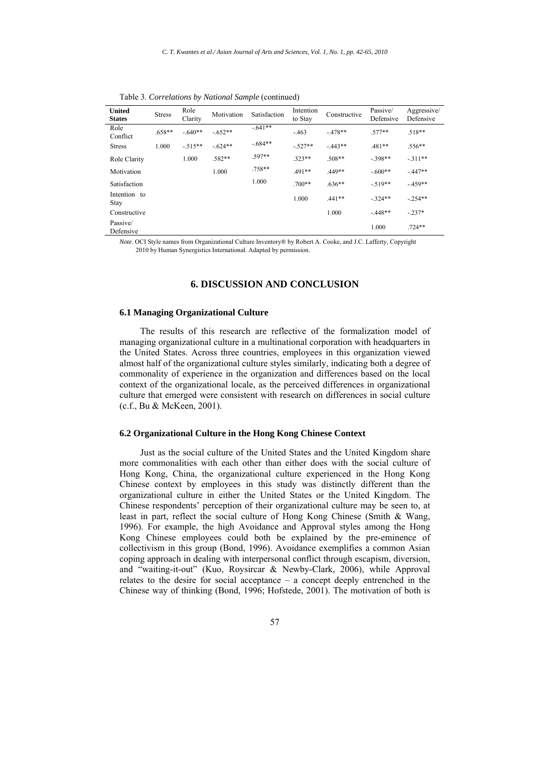| <b>United</b><br><b>States</b> | <b>Stress</b> | Role<br>Clarity | Motivation | Satisfaction | Intention<br>to Stay | Constructive | Passive/<br>Defensive | Aggressive/<br>Defensive |
|--------------------------------|---------------|-----------------|------------|--------------|----------------------|--------------|-----------------------|--------------------------|
| Role<br>Conflict               | .658**        | $-.640**$       | $-652**$   | $-641**$     | $-463$               | $-478**$     | $.577**$              | $.518**$                 |
| <b>Stress</b>                  | 1.000         | $-515**$        | $-624**$   | $-684**$     | $-.527**$            | $-443**$     | .481**                | $.556**$                 |
| Role Clarity                   |               | 1.000           | .582**     | .597**       | 323**                | $.508**$     | $-398**$              | $-311**$                 |
| Motivation                     |               |                 | 1.000      | .758**       | 491**                | 449**        | $-.600**$             | $-447**$                 |
| Satisfaction                   |               |                 |            | 1.000        | $700**$              | $.636**$     | $-519**$              | $-459**$                 |
| Intention to<br>Stay           |               |                 |            |              | 1.000                | $.441**$     | $-324**$              | $-254**$                 |
| Constructive                   |               |                 |            |              |                      | 1.000        | $-448**$              | $-237*$                  |
| Passive/<br>Defensive          |               |                 |            |              |                      |              | 1.000                 | $.724**$                 |

Table 3. *Correlations by National Sample* (continued)

*Note*. OCI Style names from Organizational Culture Inventory® by Robert A. Cooke, and J.C. Lafferty, Copyright 2010 by Human Synergistics International. Adapted by permission.

# **6. DISCUSSION AND CONCLUSION**

#### **6.1 Managing Organizational Culture**

The results of this research are reflective of the formalization model of managing organizational culture in a multinational corporation with headquarters in the United States. Across three countries, employees in this organization viewed almost half of the organizational culture styles similarly, indicating both a degree of commonality of experience in the organization and differences based on the local context of the organizational locale, as the perceived differences in organizational culture that emerged were consistent with research on differences in social culture (c.f., Bu & McKeen, 2001).

#### **6.2 Organizational Culture in the Hong Kong Chinese Context**

Just as the social culture of the United States and the United Kingdom share more commonalities with each other than either does with the social culture of Hong Kong, China, the organizational culture experienced in the Hong Kong Chinese context by employees in this study was distinctly different than the organizational culture in either the United States or the United Kingdom. The Chinese respondents' perception of their organizational culture may be seen to, at least in part, reflect the social culture of Hong Kong Chinese (Smith & Wang, 1996). For example, the high Avoidance and Approval styles among the Hong Kong Chinese employees could both be explained by the pre-eminence of collectivism in this group (Bond, 1996). Avoidance exemplifies a common Asian coping approach in dealing with interpersonal conflict through escapism, diversion, and "waiting-it-out" (Kuo, Roysircar & Newby-Clark, 2006), while Approval relates to the desire for social acceptance – a concept deeply entrenched in the Chinese way of thinking (Bond, 1996; Hofstede, 2001). The motivation of both is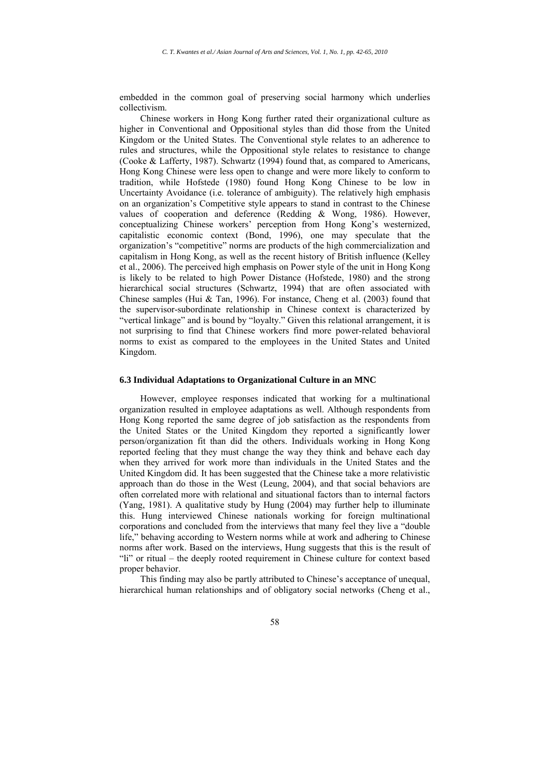embedded in the common goal of preserving social harmony which underlies collectivism.

Chinese workers in Hong Kong further rated their organizational culture as higher in Conventional and Oppositional styles than did those from the United Kingdom or the United States. The Conventional style relates to an adherence to rules and structures, while the Oppositional style relates to resistance to change (Cooke & Lafferty, 1987). Schwartz (1994) found that, as compared to Americans, Hong Kong Chinese were less open to change and were more likely to conform to tradition, while Hofstede (1980) found Hong Kong Chinese to be low in Uncertainty Avoidance (i.e. tolerance of ambiguity). The relatively high emphasis on an organization's Competitive style appears to stand in contrast to the Chinese values of cooperation and deference (Redding & Wong, 1986). However, conceptualizing Chinese workers' perception from Hong Kong's westernized, capitalistic economic context (Bond, 1996), one may speculate that the organization's "competitive" norms are products of the high commercialization and capitalism in Hong Kong, as well as the recent history of British influence (Kelley et al., 2006). The perceived high emphasis on Power style of the unit in Hong Kong is likely to be related to high Power Distance (Hofstede, 1980) and the strong hierarchical social structures (Schwartz, 1994) that are often associated with Chinese samples (Hui & Tan, 1996). For instance, Cheng et al. (2003) found that the supervisor-subordinate relationship in Chinese context is characterized by "vertical linkage" and is bound by "loyalty." Given this relational arrangement, it is not surprising to find that Chinese workers find more power-related behavioral norms to exist as compared to the employees in the United States and United Kingdom.

#### **6.3 Individual Adaptations to Organizational Culture in an MNC**

However, employee responses indicated that working for a multinational organization resulted in employee adaptations as well. Although respondents from Hong Kong reported the same degree of job satisfaction as the respondents from the United States or the United Kingdom they reported a significantly lower person/organization fit than did the others. Individuals working in Hong Kong reported feeling that they must change the way they think and behave each day when they arrived for work more than individuals in the United States and the United Kingdom did. It has been suggested that the Chinese take a more relativistic approach than do those in the West (Leung, 2004), and that social behaviors are often correlated more with relational and situational factors than to internal factors (Yang, 1981). A qualitative study by Hung (2004) may further help to illuminate this. Hung interviewed Chinese nationals working for foreign multinational corporations and concluded from the interviews that many feel they live a "double life," behaving according to Western norms while at work and adhering to Chinese norms after work. Based on the interviews, Hung suggests that this is the result of "li" or ritual – the deeply rooted requirement in Chinese culture for context based proper behavior.

This finding may also be partly attributed to Chinese's acceptance of unequal, hierarchical human relationships and of obligatory social networks (Cheng et al.,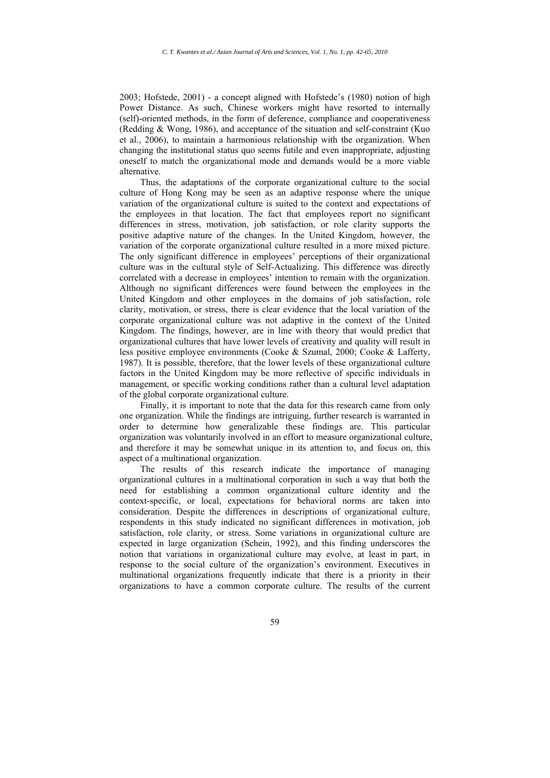2003; Hofstede, 2001) - a concept aligned with Hofstede's (1980) notion of high Power Distance. As such, Chinese workers might have resorted to internally (self)-oriented methods, in the form of deference, compliance and cooperativeness (Redding & Wong, 1986), and acceptance of the situation and self-constraint (Kuo et al., 2006), to maintain a harmonious relationship with the organization. When changing the institutional status quo seems futile and even inappropriate, adjusting oneself to match the organizational mode and demands would be a more viable alternative.

Thus, the adaptations of the corporate organizational culture to the social culture of Hong Kong may be seen as an adaptive response where the unique variation of the organizational culture is suited to the context and expectations of the employees in that location. The fact that employees report no significant differences in stress, motivation, job satisfaction, or role clarity supports the positive adaptive nature of the changes. In the United Kingdom, however, the variation of the corporate organizational culture resulted in a more mixed picture. The only significant difference in employees' perceptions of their organizational culture was in the cultural style of Self-Actualizing. This difference was directly correlated with a decrease in employees' intention to remain with the organization. Although no significant differences were found between the employees in the United Kingdom and other employees in the domains of job satisfaction, role clarity, motivation, or stress, there is clear evidence that the local variation of the corporate organizational culture was not adaptive in the context of the United Kingdom. The findings, however, are in line with theory that would predict that organizational cultures that have lower levels of creativity and quality will result in less positive employee environments (Cooke & Szumal, 2000; Cooke & Lafferty, 1987). It is possible, therefore, that the lower levels of these organizational culture factors in the United Kingdom may be more reflective of specific individuals in management, or specific working conditions rather than a cultural level adaptation of the global corporate organizational culture.

Finally, it is important to note that the data for this research came from only one organization. While the findings are intriguing, further research is warranted in order to determine how generalizable these findings are. This particular organization was voluntarily involved in an effort to measure organizational culture, and therefore it may be somewhat unique in its attention to, and focus on, this aspect of a multinational organization.

The results of this research indicate the importance of managing organizational cultures in a multinational corporation in such a way that both the need for establishing a common organizational culture identity and the context-specific, or local, expectations for behavioral norms are taken into consideration. Despite the differences in descriptions of organizational culture, respondents in this study indicated no significant differences in motivation, job satisfaction, role clarity, or stress. Some variations in organizational culture are expected in large organization (Schein, 1992), and this finding underscores the notion that variations in organizational culture may evolve, at least in part, in response to the social culture of the organization's environment. Executives in multinational organizations frequently indicate that there is a priority in their organizations to have a common corporate culture. The results of the current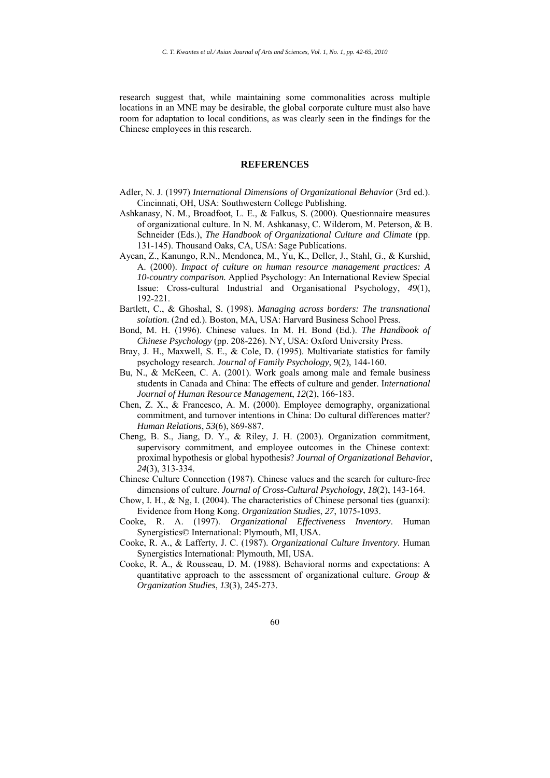research suggest that, while maintaining some commonalities across multiple locations in an MNE may be desirable, the global corporate culture must also have room for adaptation to local conditions, as was clearly seen in the findings for the Chinese employees in this research.

#### **REFERENCES**

- Adler, N. J. (1997) *International Dimensions of Organizational Behavior* (3rd ed.). Cincinnati, OH, USA: Southwestern College Publishing.
- Ashkanasy, N. M., Broadfoot, L. E., & Falkus, S. (2000). Questionnaire measures of organizational culture. In N. M. Ashkanasy, C. Wilderom, M. Peterson, & B. Schneider (Eds.), *The Handbook of Organizational Culture and Climate* (pp. 131-145). Thousand Oaks, CA, USA: Sage Publications.
- Aycan, Z., Kanungo, R.N., Mendonca, M., Yu, K., Deller, J., Stahl, G., & Kurshid, A. (2000). *Impact of culture on human resource management practices: A 10-country comparison.* Applied Psychology: An International Review Special Issue: Cross-cultural Industrial and Organisational Psychology, *49*(1), 192-221.
- Bartlett, C., & Ghoshal, S. (1998). *Managing across borders: The transnational solution*. (2nd ed.). Boston, MA, USA: Harvard Business School Press.
- Bond, M. H. (1996). Chinese values. In M. H. Bond (Ed.). *The Handbook of Chinese Psychology* (pp. 208-226). NY, USA: Oxford University Press.
- Bray, J. H., Maxwell, S. E., & Cole, D. (1995). Multivariate statistics for family psychology research. *Journal of Family Psychology*, *9*(2), 144-160.
- Bu, N., & McKeen, C. A. (2001). Work goals among male and female business students in Canada and China: The effects of culture and gender. I*nternational Journal of Human Resource Management*, *12*(2), 166-183.
- Chen, Z. X., & Francesco, A. M. (2000). Employee demography, organizational commitment, and turnover intentions in China: Do cultural differences matter? *Human Relations*, *53*(6), 869-887.
- Cheng, B. S., Jiang, D. Y., & Riley, J. H. (2003). Organization commitment, supervisory commitment, and employee outcomes in the Chinese context: proximal hypothesis or global hypothesis? *Journal of Organizational Behavior*, *24*(3), 313-334.
- Chinese Culture Connection (1987). Chinese values and the search for culture-free dimensions of culture. *Journal of Cross-Cultural Psychology*, *18*(2), 143-164.
- Chow, I. H., & Ng, I. (2004). The characteristics of Chinese personal ties (guanxi): Evidence from Hong Kong. *Organization Studies*, *27*, 1075-1093.
- Cooke, R. A. (1997). *Organizational Effectiveness Inventory*. Human Synergistics© International: Plymouth, MI, USA.
- Cooke, R. A., & Lafferty, J. C. (1987). *Organizational Culture Inventory*. Human Synergistics International: Plymouth, MI, USA.
- Cooke, R. A., & Rousseau, D. M. (1988). Behavioral norms and expectations: A quantitative approach to the assessment of organizational culture. *Group & Organization Studies*, *13*(3), 245-273.
	- 60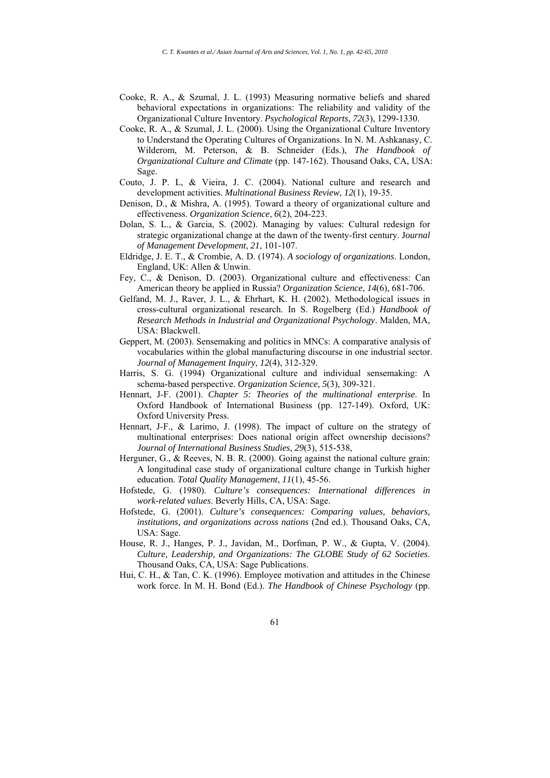- Cooke, R. A., & Szumal, J. L. (1993) Measuring normative beliefs and shared behavioral expectations in organizations: The reliability and validity of the Organizational Culture Inventory. *Psychological Reports*, *72*(3), 1299-1330.
- Cooke, R. A., & Szumal, J. L. (2000). Using the Organizational Culture Inventory to Understand the Operating Cultures of Organizations. In N. M. Ashkanasy, C. Wilderom, M. Peterson, & B. Schneider (Eds.), *The Handbook of Organizational Culture and Climate* (pp. 147-162). Thousand Oaks, CA, USA: Sage.
- Couto, J. P. L, & Vieira, J. C. (2004). National culture and research and development activities. *Multinational Business Review*, *12*(1), 19-35.
- Denison, D., & Mishra, A. (1995). Toward a theory of organizational culture and effectiveness. *Organization Science*, *6*(2), 204-223.
- Dolan, S. L., & Garcia, S. (2002). Managing by values: Cultural redesign for strategic organizational change at the dawn of the twenty-first century. J*ournal of Management Development*, *21*, 101-107.
- Eldridge, J. E. T., & Crombie, A. D. (1974). *A sociology of organizations*. London, England, UK: Allen & Unwin.
- Fey, C., & Denison, D. (2003). Organizational culture and effectiveness: Can American theory be applied in Russia? *Organization Science*, *14*(6), 681-706.
- Gelfand, M. J., Raver, J. L., & Ehrhart, K. H. (2002). Methodological issues in cross-cultural organizational research. In S. Rogelberg (Ed.) *Handbook of Research Methods in Industrial and Organizational Psychology*. Malden, MA, USA: Blackwell.
- Geppert, M. (2003). Sensemaking and politics in MNCs: A comparative analysis of vocabularies within the global manufacturing discourse in one industrial sector. *Journal of Management Inquiry*, *12*(4), 312-329.
- Harris, S. G. (1994) Organizational culture and individual sensemaking: A schema-based perspective. *Organization Science*, *5*(3), 309-321.
- Hennart, J-F. (2001). *Chapter 5: Theories of the multinational enterprise*. In Oxford Handbook of International Business (pp. 127-149). Oxford, UK: Oxford University Press.
- Hennart, J-F., & Larimo, J. (1998). The impact of culture on the strategy of multinational enterprises: Does national origin affect ownership decisions? *Journal of International Business Studies*, *29*(3), 515-538,
- Herguner, G., & Reeves, N. B. R. (2000). Going against the national culture grain: A longitudinal case study of organizational culture change in Turkish higher education. *Total Quality Management*, *11*(1), 45-56.
- Hofstede, G. (1980). *Culture's consequences: International differences in work-related values*. Beverly Hills, CA, USA: Sage.
- Hofstede, G. (2001). *Culture's consequences: Comparing values, behaviors, institutions, and organizations across nations* (2nd ed.). Thousand Oaks, CA, USA: Sage.
- House, R. J., Hanges, P. J., Javidan, M., Dorfman, P. W., & Gupta, V. (2004). *Culture, Leadership, and Organizations: The GLOBE Study of 62 Societies*. Thousand Oaks, CA, USA: Sage Publications.
- Hui, C. H., & Tan, C. K. (1996). Employee motivation and attitudes in the Chinese work force. In M. H. Bond (Ed.). *The Handbook of Chinese Psychology* (pp.
	- 61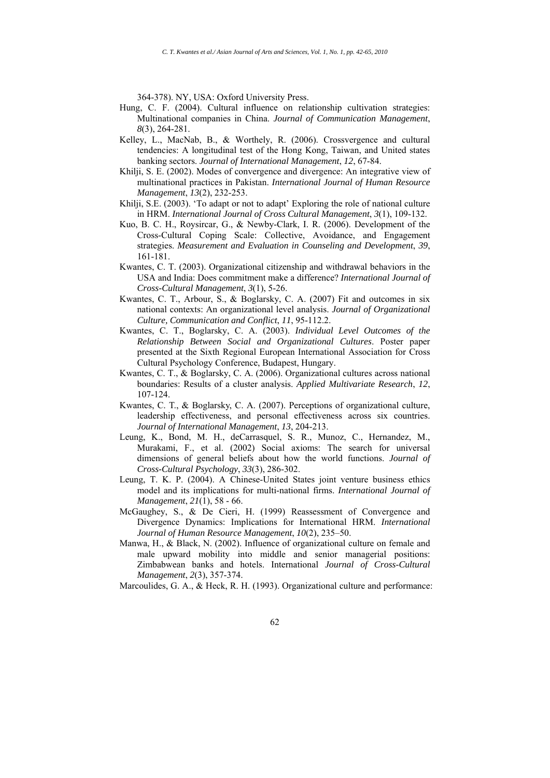364-378). NY, USA: Oxford University Press.

- Hung, C. F. (2004). Cultural influence on relationship cultivation strategies: Multinational companies in China. *Journal of Communication Management*, *8*(3), 264-281.
- Kelley, L., MacNab, B., & Worthely, R. (2006). Crossvergence and cultural tendencies: A longitudinal test of the Hong Kong, Taiwan, and United states banking sectors. *Journal of International Management*, *12*, 67-84.
- Khilji, S. E. (2002). Modes of convergence and divergence: An integrative view of multinational practices in Pakistan. *International Journal of Human Resource Management*, *13*(2), 232-253.
- Khilji, S.E. (2003). 'To adapt or not to adapt' Exploring the role of national culture in HRM. *International Journal of Cross Cultural Management*, *3*(1), 109-132.
- Kuo, B. C. H., Roysircar, G., & Newby-Clark, I. R. (2006). Development of the Cross-Cultural Coping Scale: Collective, Avoidance, and Engagement strategies. *Measurement and Evaluation in Counseling and Development*, *39*, 161-181.
- Kwantes, C. T. (2003). Organizational citizenship and withdrawal behaviors in the USA and India: Does commitment make a difference? *International Journal of Cross-Cultural Management*, *3*(1), 5-26.
- Kwantes, C. T., Arbour, S., & Boglarsky, C. A. (2007) Fit and outcomes in six national contexts: An organizational level analysis. *Journal of Organizational Culture, Communication and Conflict*, *11*, 95-112.2.
- Kwantes, C. T., Boglarsky, C. A. (2003). *Individual Level Outcomes of the Relationship Between Social and Organizational Cultures*. Poster paper presented at the Sixth Regional European International Association for Cross Cultural Psychology Conference, Budapest, Hungary.
- Kwantes, C. T., & Boglarsky, C. A. (2006). Organizational cultures across national boundaries: Results of a cluster analysis. *Applied Multivariate Research*, *12*, 107-124.
- Kwantes, C. T., & Boglarsky, C. A. (2007). Perceptions of organizational culture, leadership effectiveness, and personal effectiveness across six countries. *Journal of International Management*, *13*, 204-213.
- Leung, K., Bond, M. H., deCarrasquel, S. R., Munoz, C., Hernandez, M., Murakami, F., et al. (2002) Social axioms: The search for universal dimensions of general beliefs about how the world functions. *Journal of Cross-Cultural Psychology*, *33*(3), 286-302.
- Leung, T. K. P. (2004). A Chinese-United States joint venture business ethics model and its implications for multi-national firms. *International Journal of Management*, *21*(1), 58 - 66.
- McGaughey, S., & De Cieri, H. (1999) Reassessment of Convergence and Divergence Dynamics: Implications for International HRM. *International Journal of Human Resource Management*, *10*(2), 235–50.
- Manwa, H., & Black, N. (2002). Influence of organizational culture on female and male upward mobility into middle and senior managerial positions: Zimbabwean banks and hotels. International *Journal of Cross-Cultural Management*, *2*(3), 357-374.
- Marcoulides, G. A., & Heck, R. H. (1993). Organizational culture and performance: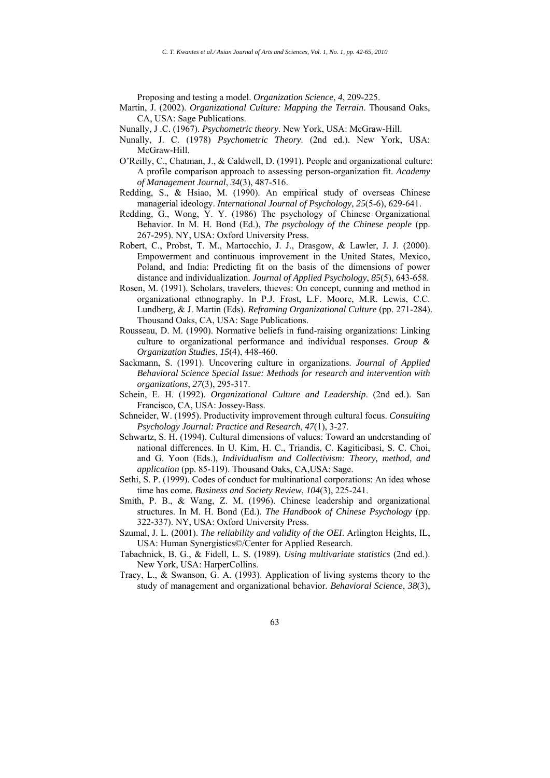Proposing and testing a model. *Organization Science*, *4*, 209-225.

- Martin, J. (2002). *Organizational Culture: Mapping the Terrain*. Thousand Oaks, CA, USA: Sage Publications.
- Nunally, J .C. (1967). *Psychometric theory*. New York, USA: McGraw-Hill.
- Nunally, J. C. (1978) *Psychometric Theory*. (2nd ed.). New York, USA: McGraw-Hill.
- O'Reilly, C., Chatman, J., & Caldwell, D. (1991). People and organizational culture: A profile comparison approach to assessing person-organization fit. *Academy of Management Journal*, *34*(3), 487-516.
- Redding, S., & Hsiao, M. (1990). An empirical study of overseas Chinese managerial ideology. *International Journal of Psychology*, *25*(5-6), 629-641.
- Redding, G., Wong, Y. Y. (1986) The psychology of Chinese Organizational Behavior. In M. H. Bond (Ed.), *The psychology of the Chinese people* (pp. 267-295). NY, USA: Oxford University Press.
- Robert, C., Probst, T. M., Martocchio, J. J., Drasgow, & Lawler, J. J. (2000). Empowerment and continuous improvement in the United States, Mexico, Poland, and India: Predicting fit on the basis of the dimensions of power distance and individualization. *Journal of Applied Psychology*, *85*(5), 643-658.
- Rosen, M. (1991). Scholars, travelers, thieves: On concept, cunning and method in organizational ethnography. In P.J. Frost, L.F. Moore, M.R. Lewis, C.C. Lundberg, & J. Martin (Eds). *Reframing Organizational Culture* (pp. 271-284). Thousand Oaks, CA, USA: Sage Publications.
- Rousseau, D. M. (1990). Normative beliefs in fund-raising organizations: Linking culture to organizational performance and individual responses. *Group & Organization Studies*, *15*(4), 448-460.
- Sackmann, S. (1991). Uncovering culture in organizations. *Journal of Applied Behavioral Science Special Issue: Methods for research and intervention with organizations*, *27*(3), 295-317.
- Schein, E. H. (1992). *Organizational Culture and Leadership*. (2nd ed.). San Francisco, CA, USA: Jossey-Bass.
- Schneider, W. (1995). Productivity improvement through cultural focus. *Consulting Psychology Journal: Practice and Research*, *47*(1), 3-27.
- Schwartz, S. H. (1994). Cultural dimensions of values: Toward an understanding of national differences. In U. Kim, H. C., Triandis, C. Kagiticibasi, S. C. Choi, and G. Yoon (Eds.), *Individualism and Collectivism: Theory, method, and application* (pp. 85-119). Thousand Oaks, CA,USA: Sage.
- Sethi, S. P. (1999). Codes of conduct for multinational corporations: An idea whose time has come. *Business and Society Review*, *104*(3), 225-241.
- Smith, P. B., & Wang, Z. M. (1996). Chinese leadership and organizational structures. In M. H. Bond (Ed.). *The Handbook of Chinese Psychology* (pp. 322-337). NY, USA: Oxford University Press.
- Szumal, J. L. (2001). *The reliability and validity of the OEI*. Arlington Heights, IL, USA: Human Synergistics©/Center for Applied Research.
- Tabachnick, B. G., & Fidell, L. S. (1989). *Using multivariate statistics* (2nd ed.). New York, USA: HarperCollins.
- Tracy, L., & Swanson, G. A. (1993). Application of living systems theory to the study of management and organizational behavior. *Behavioral Science*, *38*(3),
	- 63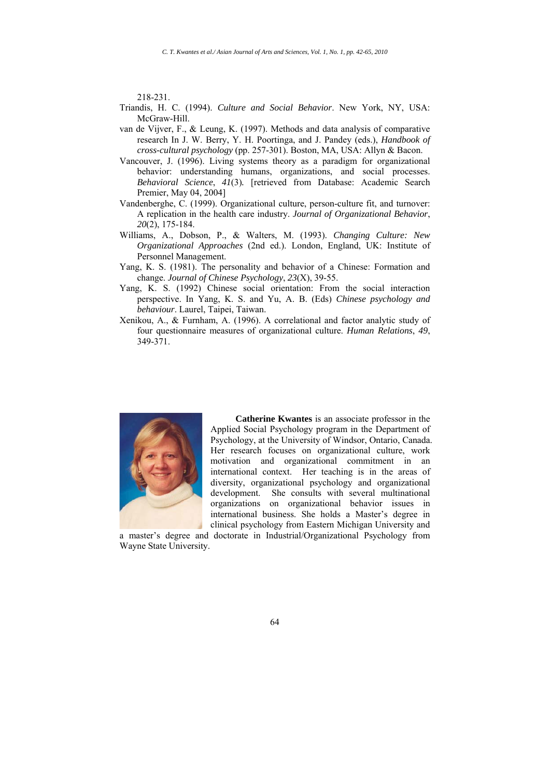218-231.

- Triandis, H. C. (1994). *Culture and Social Behavior*. New York, NY, USA: McGraw-Hill.
- van de Vijver, F., & Leung, K. (1997). Methods and data analysis of comparative research In J. W. Berry, Y. H. Poortinga, and J. Pandey (eds.), *Handbook of cross-cultural psychology* (pp. 257-301). Boston, MA, USA: Allyn & Bacon.
- Vancouver, J. (1996). Living systems theory as a paradigm for organizational behavior: understanding humans, organizations, and social processes. *Behavioral Science*, *41*(3)*.* [retrieved from Database: Academic Search Premier, May 04, 2004]
- Vandenberghe, C. (1999). Organizational culture, person-culture fit, and turnover: A replication in the health care industry. *Journal of Organizational Behavior*, *20*(2), 175-184.
- Williams, A., Dobson, P., & Walters, M. (1993). *Changing Culture: New Organizational Approaches* (2nd ed.). London, England, UK: Institute of Personnel Management.
- Yang, K. S. (1981). The personality and behavior of a Chinese: Formation and change. *Journal of Chinese Psychology*, *23*(X), 39-55.
- Yang, K. S. (1992) Chinese social orientation: From the social interaction perspective. In Yang, K. S. and Yu, A. B. (Eds) *Chinese psychology and behaviour*. Laurel, Taipei, Taiwan.
- Xenikou, A., & Furnham, A. (1996). A correlational and factor analytic study of four questionnaire measures of organizational culture. *Human Relations*, *49*, 349-371.



**Catherine Kwantes** is an associate professor in the Applied Social Psychology program in the Department of Psychology, at the University of Windsor, Ontario, Canada. Her research focuses on organizational culture, work motivation and organizational commitment in an international context. Her teaching is in the areas of diversity, organizational psychology and organizational development. She consults with several multinational organizations on organizational behavior issues in international business. She holds a Master's degree in clinical psychology from Eastern Michigan University and

a master's degree and doctorate in Industrial/Organizational Psychology from Wayne State University.